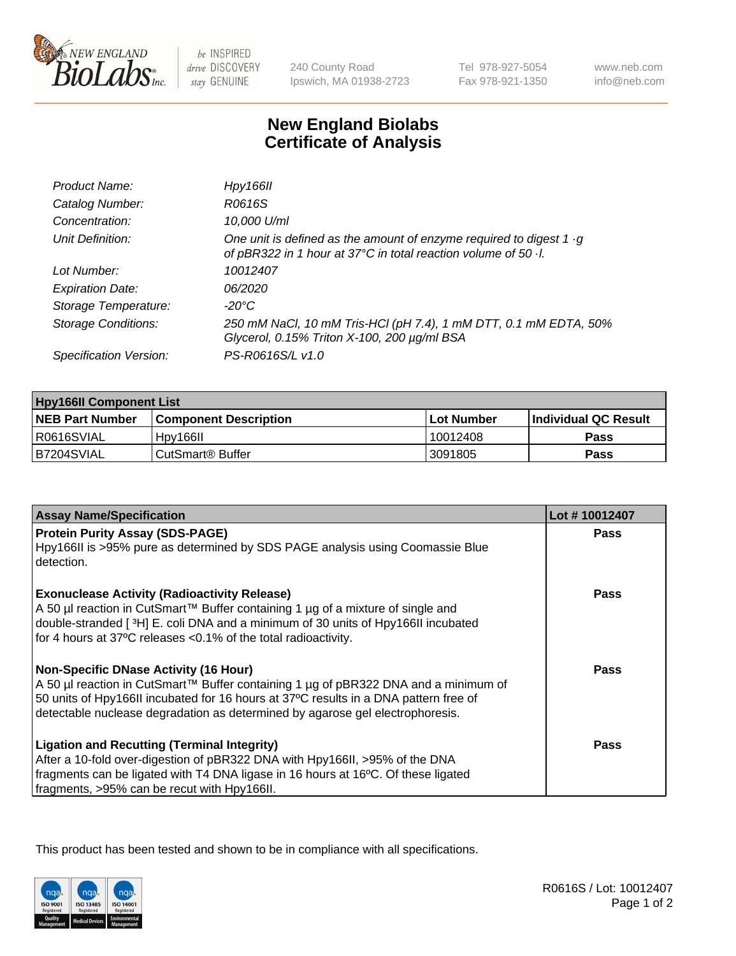

 $be$  INSPIRED drive DISCOVERY stay GENUINE

240 County Road Ipswich, MA 01938-2723 Tel 978-927-5054 Fax 978-921-1350

www.neb.com info@neb.com

## **New England Biolabs Certificate of Analysis**

| Product Name:           | Hpy166II                                                                                                                                      |
|-------------------------|-----------------------------------------------------------------------------------------------------------------------------------------------|
| Catalog Number:         | R0616S                                                                                                                                        |
| Concentration:          | 10,000 U/ml                                                                                                                                   |
| Unit Definition:        | One unit is defined as the amount of enzyme required to digest $1 \cdot g$<br>of pBR322 in 1 hour at 37°C in total reaction volume of 50 · l. |
| Lot Number:             | 10012407                                                                                                                                      |
| <b>Expiration Date:</b> | 06/2020                                                                                                                                       |
| Storage Temperature:    | -20°C                                                                                                                                         |
| Storage Conditions:     | 250 mM NaCl, 10 mM Tris-HCl (pH 7.4), 1 mM DTT, 0.1 mM EDTA, 50%<br>Glycerol, 0.15% Triton X-100, 200 µg/ml BSA                               |
| Specification Version:  | PS-R0616S/L v1.0                                                                                                                              |

| <b>Hpy166II Component List</b> |                         |             |                             |  |
|--------------------------------|-------------------------|-------------|-----------------------------|--|
| <b>NEB Part Number</b>         | l Component Description | ⊺Lot Number | <b>Individual QC Result</b> |  |
| I R0616SVIAL                   | Hpy166II                | 10012408    | Pass                        |  |
| IB7204SVIAL                    | l CutSmart® Buffer_     | 3091805     | Pass                        |  |

| <b>Assay Name/Specification</b>                                                                                                                                             | Lot #10012407 |
|-----------------------------------------------------------------------------------------------------------------------------------------------------------------------------|---------------|
| <b>Protein Purity Assay (SDS-PAGE)</b><br>Hpy166II is >95% pure as determined by SDS PAGE analysis using Coomassie Blue                                                     | <b>Pass</b>   |
| detection.                                                                                                                                                                  |               |
| <b>Exonuclease Activity (Radioactivity Release)</b><br>A 50 µl reaction in CutSmart™ Buffer containing 1 µg of a mixture of single and                                      | <b>Pass</b>   |
| double-stranded [3H] E. coli DNA and a minimum of 30 units of Hpy166II incubated<br>for 4 hours at 37°C releases <0.1% of the total radioactivity.                          |               |
| <b>Non-Specific DNase Activity (16 Hour)</b>                                                                                                                                | Pass          |
| A 50 µl reaction in CutSmart™ Buffer containing 1 µg of pBR322 DNA and a minimum of<br>50 units of Hpy166II incubated for 16 hours at 37°C results in a DNA pattern free of |               |
| detectable nuclease degradation as determined by agarose gel electrophoresis.                                                                                               |               |
| <b>Ligation and Recutting (Terminal Integrity)</b>                                                                                                                          | Pass          |
| After a 10-fold over-digestion of pBR322 DNA with Hpy166II, >95% of the DNA                                                                                                 |               |
| fragments can be ligated with T4 DNA ligase in 16 hours at 16°C. Of these ligated<br>fragments, >95% can be recut with Hpy166II.                                            |               |

This product has been tested and shown to be in compliance with all specifications.